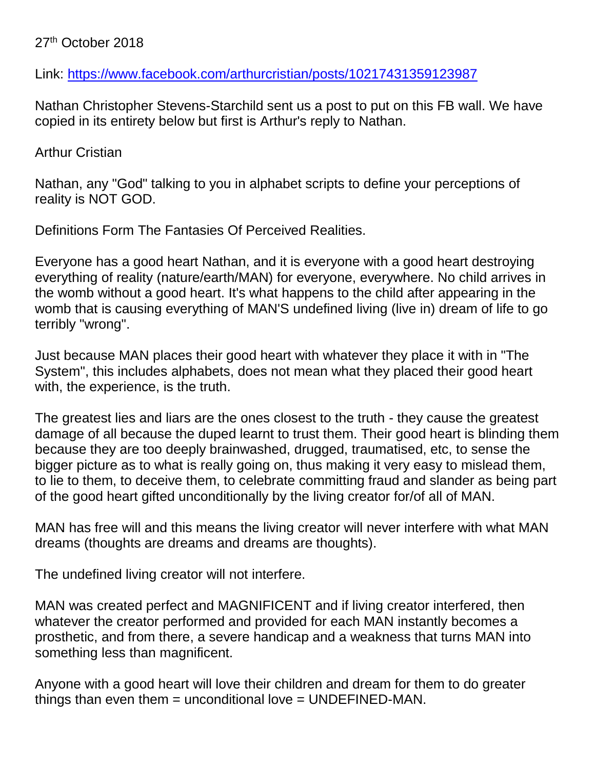## 27<sup>th</sup> October 2018

Link:<https://www.facebook.com/arthurcristian/posts/10217431359123987>

Nathan Christopher Stevens-Starchild sent us a post to put on this FB wall. We have copied in its entirety below but first is Arthur's reply to Nathan.

Arthur Cristian

Nathan, any "God" talking to you in alphabet scripts to define your perceptions of reality is NOT GOD.

Definitions Form The Fantasies Of Perceived Realities.

Everyone has a good heart Nathan, and it is everyone with a good heart destroying everything of reality (nature/earth/MAN) for everyone, everywhere. No child arrives in the womb without a good heart. It's what happens to the child after appearing in the womb that is causing everything of MAN'S undefined living (live in) dream of life to go terribly "wrong".

Just because MAN places their good heart with whatever they place it with in "The System", this includes alphabets, does not mean what they placed their good heart with, the experience, is the truth.

The greatest lies and liars are the ones closest to the truth - they cause the greatest damage of all because the duped learnt to trust them. Their good heart is blinding them because they are too deeply brainwashed, drugged, traumatised, etc, to sense the bigger picture as to what is really going on, thus making it very easy to mislead them, to lie to them, to deceive them, to celebrate committing fraud and slander as being part of the good heart gifted unconditionally by the living creator for/of all of MAN.

MAN has free will and this means the living creator will never interfere with what MAN dreams (thoughts are dreams and dreams are thoughts).

The undefined living creator will not interfere.

MAN was created perfect and MAGNIFICENT and if living creator interfered, then whatever the creator performed and provided for each MAN instantly becomes a prosthetic, and from there, a severe handicap and a weakness that turns MAN into something less than magnificent.

Anyone with a good heart will love their children and dream for them to do greater things than even them = unconditional love = UNDEFINED-MAN.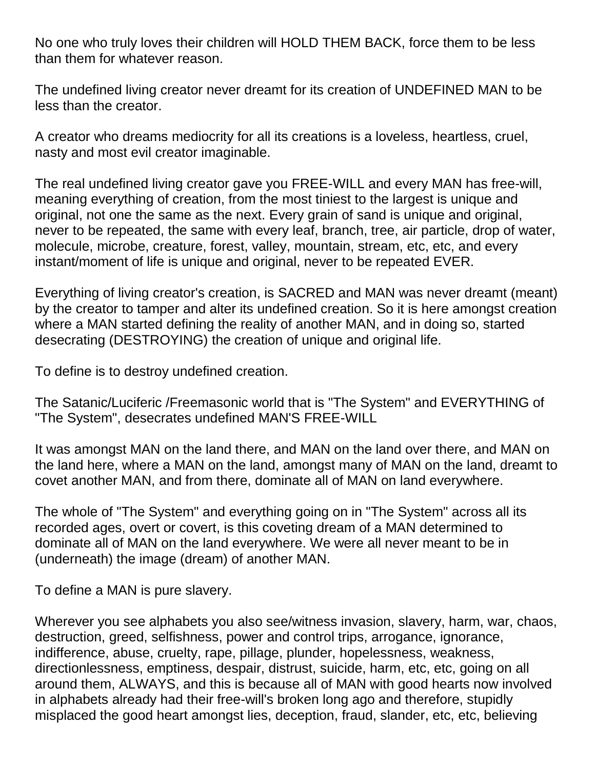No one who truly loves their children will HOLD THEM BACK, force them to be less than them for whatever reason.

The undefined living creator never dreamt for its creation of UNDEFINED MAN to be less than the creator.

A creator who dreams mediocrity for all its creations is a loveless, heartless, cruel, nasty and most evil creator imaginable.

The real undefined living creator gave you FREE-WILL and every MAN has free-will, meaning everything of creation, from the most tiniest to the largest is unique and original, not one the same as the next. Every grain of sand is unique and original, never to be repeated, the same with every leaf, branch, tree, air particle, drop of water, molecule, microbe, creature, forest, valley, mountain, stream, etc, etc, and every instant/moment of life is unique and original, never to be repeated EVER.

Everything of living creator's creation, is SACRED and MAN was never dreamt (meant) by the creator to tamper and alter its undefined creation. So it is here amongst creation where a MAN started defining the reality of another MAN, and in doing so, started desecrating (DESTROYING) the creation of unique and original life.

To define is to destroy undefined creation.

The Satanic/Luciferic /Freemasonic world that is "The System" and EVERYTHING of "The System", desecrates undefined MAN'S FREE-WILL

It was amongst MAN on the land there, and MAN on the land over there, and MAN on the land here, where a MAN on the land, amongst many of MAN on the land, dreamt to covet another MAN, and from there, dominate all of MAN on land everywhere.

The whole of "The System" and everything going on in "The System" across all its recorded ages, overt or covert, is this coveting dream of a MAN determined to dominate all of MAN on the land everywhere. We were all never meant to be in (underneath) the image (dream) of another MAN.

To define a MAN is pure slavery.

Wherever you see alphabets you also see/witness invasion, slavery, harm, war, chaos, destruction, greed, selfishness, power and control trips, arrogance, ignorance, indifference, abuse, cruelty, rape, pillage, plunder, hopelessness, weakness, directionlessness, emptiness, despair, distrust, suicide, harm, etc, etc, going on all around them, ALWAYS, and this is because all of MAN with good hearts now involved in alphabets already had their free-will's broken long ago and therefore, stupidly misplaced the good heart amongst lies, deception, fraud, slander, etc, etc, believing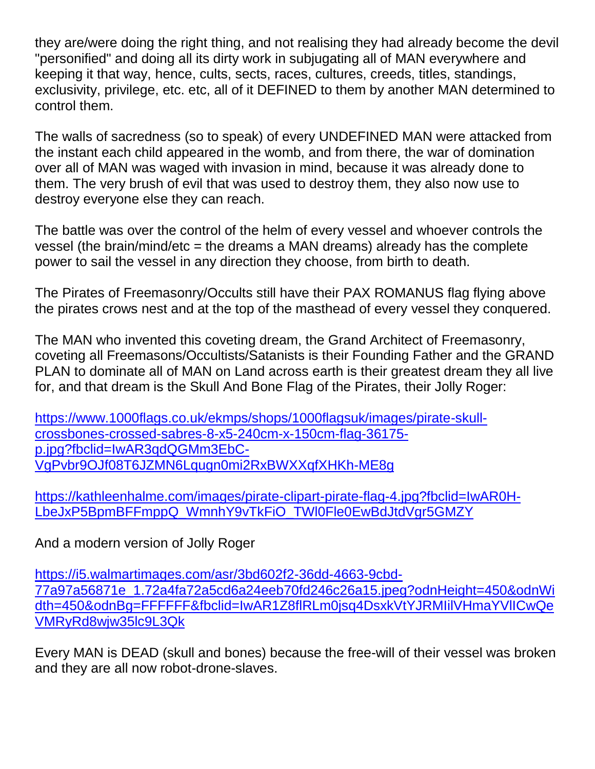they are/were doing the right thing, and not realising they had already become the devil "personified" and doing all its dirty work in subjugating all of MAN everywhere and keeping it that way, hence, cults, sects, races, cultures, creeds, titles, standings, exclusivity, privilege, etc. etc, all of it DEFINED to them by another MAN determined to control them.

The walls of sacredness (so to speak) of every UNDEFINED MAN were attacked from the instant each child appeared in the womb, and from there, the war of domination over all of MAN was waged with invasion in mind, because it was already done to them. The very brush of evil that was used to destroy them, they also now use to destroy everyone else they can reach.

The battle was over the control of the helm of every vessel and whoever controls the vessel (the brain/mind/etc = the dreams a MAN dreams) already has the complete power to sail the vessel in any direction they choose, from birth to death.

The Pirates of Freemasonry/Occults still have their PAX ROMANUS flag flying above the pirates crows nest and at the top of the masthead of every vessel they conquered.

The MAN who invented this coveting dream, the Grand Architect of Freemasonry, coveting all Freemasons/Occultists/Satanists is their Founding Father and the GRAND PLAN to dominate all of MAN on Land across earth is their greatest dream they all live for, and that dream is the Skull And Bone Flag of the Pirates, their Jolly Roger:

[https://www.1000flags.co.uk/ekmps/shops/1000flagsuk/images/pirate-skull](https://www.1000flags.co.uk/ekmps/shops/1000flagsuk/images/pirate-skull-crossbones-crossed-sabres-8-x5-240cm-x-150cm-flag-36175-p.jpg?fbclid=IwAR3qdQGMm3EbC-VgPvbr9OJf08T6JZMN6Lqugn0mi2RxBWXXqfXHKh-ME8g)[crossbones-crossed-sabres-8-x5-240cm-x-150cm-flag-36175](https://www.1000flags.co.uk/ekmps/shops/1000flagsuk/images/pirate-skull-crossbones-crossed-sabres-8-x5-240cm-x-150cm-flag-36175-p.jpg?fbclid=IwAR3qdQGMm3EbC-VgPvbr9OJf08T6JZMN6Lqugn0mi2RxBWXXqfXHKh-ME8g) [p.jpg?fbclid=IwAR3qdQGMm3EbC-](https://www.1000flags.co.uk/ekmps/shops/1000flagsuk/images/pirate-skull-crossbones-crossed-sabres-8-x5-240cm-x-150cm-flag-36175-p.jpg?fbclid=IwAR3qdQGMm3EbC-VgPvbr9OJf08T6JZMN6Lqugn0mi2RxBWXXqfXHKh-ME8g)[VgPvbr9OJf08T6JZMN6Lqugn0mi2RxBWXXqfXHKh-ME8g](https://www.1000flags.co.uk/ekmps/shops/1000flagsuk/images/pirate-skull-crossbones-crossed-sabres-8-x5-240cm-x-150cm-flag-36175-p.jpg?fbclid=IwAR3qdQGMm3EbC-VgPvbr9OJf08T6JZMN6Lqugn0mi2RxBWXXqfXHKh-ME8g)

[https://kathleenhalme.com/images/pirate-clipart-pirate-flag-4.jpg?fbclid=IwAR0H-](https://kathleenhalme.com/images/pirate-clipart-pirate-flag-4.jpg?fbclid=IwAR0H-LbeJxP5BpmBFFmppQ_WmnhY9vTkFiO_TWl0Fle0EwBdJtdVgr5GMZY)[LbeJxP5BpmBFFmppQ\\_WmnhY9vTkFiO\\_TWl0Fle0EwBdJtdVgr5GMZY](https://kathleenhalme.com/images/pirate-clipart-pirate-flag-4.jpg?fbclid=IwAR0H-LbeJxP5BpmBFFmppQ_WmnhY9vTkFiO_TWl0Fle0EwBdJtdVgr5GMZY)

And a modern version of Jolly Roger

[https://i5.walmartimages.com/asr/3bd602f2-36dd-4663-9cbd-](https://i5.walmartimages.com/asr/3bd602f2-36dd-4663-9cbd-77a97a56871e_1.72a4fa72a5cd6a24eeb70fd246c26a15.jpeg?odnHeight=450&odnWidth=450&odnBg=FFFFFF&fbclid=IwAR1Z8flRLm0jsq4DsxkVtYJRMIilVHmaYVlICwQeVMRyRd8wjw35lc9L3Qk)[77a97a56871e\\_1.72a4fa72a5cd6a24eeb70fd246c26a15.jpeg?odnHeight=450&odnWi](https://i5.walmartimages.com/asr/3bd602f2-36dd-4663-9cbd-77a97a56871e_1.72a4fa72a5cd6a24eeb70fd246c26a15.jpeg?odnHeight=450&odnWidth=450&odnBg=FFFFFF&fbclid=IwAR1Z8flRLm0jsq4DsxkVtYJRMIilVHmaYVlICwQeVMRyRd8wjw35lc9L3Qk) [dth=450&odnBg=FFFFFF&fbclid=IwAR1Z8flRLm0jsq4DsxkVtYJRMIilVHmaYVlICwQe](https://i5.walmartimages.com/asr/3bd602f2-36dd-4663-9cbd-77a97a56871e_1.72a4fa72a5cd6a24eeb70fd246c26a15.jpeg?odnHeight=450&odnWidth=450&odnBg=FFFFFF&fbclid=IwAR1Z8flRLm0jsq4DsxkVtYJRMIilVHmaYVlICwQeVMRyRd8wjw35lc9L3Qk) [VMRyRd8wjw35lc9L3Qk](https://i5.walmartimages.com/asr/3bd602f2-36dd-4663-9cbd-77a97a56871e_1.72a4fa72a5cd6a24eeb70fd246c26a15.jpeg?odnHeight=450&odnWidth=450&odnBg=FFFFFF&fbclid=IwAR1Z8flRLm0jsq4DsxkVtYJRMIilVHmaYVlICwQeVMRyRd8wjw35lc9L3Qk)

Every MAN is DEAD (skull and bones) because the free-will of their vessel was broken and they are all now robot-drone-slaves.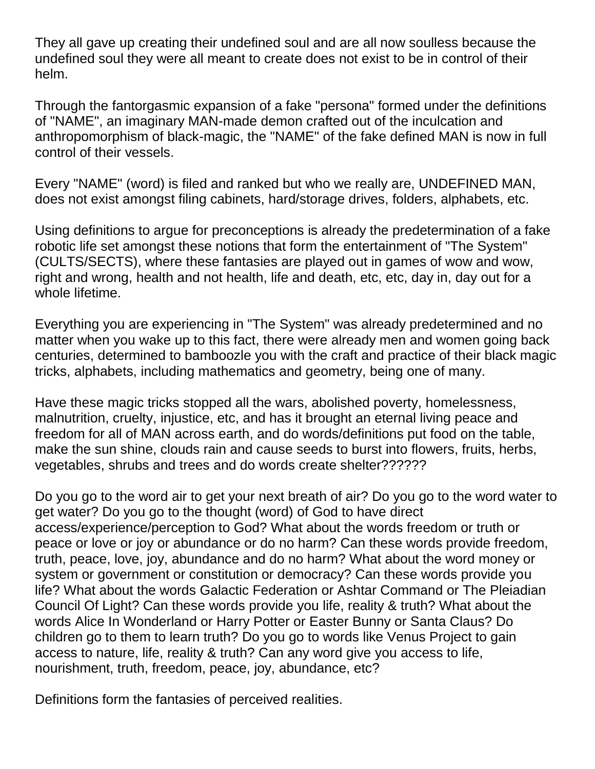They all gave up creating their undefined soul and are all now soulless because the undefined soul they were all meant to create does not exist to be in control of their helm.

Through the fantorgasmic expansion of a fake "persona" formed under the definitions of "NAME", an imaginary MAN-made demon crafted out of the inculcation and anthropomorphism of black-magic, the "NAME" of the fake defined MAN is now in full control of their vessels.

Every "NAME" (word) is filed and ranked but who we really are, UNDEFINED MAN, does not exist amongst filing cabinets, hard/storage drives, folders, alphabets, etc.

Using definitions to argue for preconceptions is already the predetermination of a fake robotic life set amongst these notions that form the entertainment of "The System" (CULTS/SECTS), where these fantasies are played out in games of wow and wow, right and wrong, health and not health, life and death, etc, etc, day in, day out for a whole lifetime.

Everything you are experiencing in "The System" was already predetermined and no matter when you wake up to this fact, there were already men and women going back centuries, determined to bamboozle you with the craft and practice of their black magic tricks, alphabets, including mathematics and geometry, being one of many.

Have these magic tricks stopped all the wars, abolished poverty, homelessness, malnutrition, cruelty, injustice, etc, and has it brought an eternal living peace and freedom for all of MAN across earth, and do words/definitions put food on the table, make the sun shine, clouds rain and cause seeds to burst into flowers, fruits, herbs, vegetables, shrubs and trees and do words create shelter??????

Do you go to the word air to get your next breath of air? Do you go to the word water to get water? Do you go to the thought (word) of God to have direct access/experience/perception to God? What about the words freedom or truth or peace or love or joy or abundance or do no harm? Can these words provide freedom, truth, peace, love, joy, abundance and do no harm? What about the word money or system or government or constitution or democracy? Can these words provide you life? What about the words Galactic Federation or Ashtar Command or The Pleiadian Council Of Light? Can these words provide you life, reality & truth? What about the words Alice In Wonderland or Harry Potter or Easter Bunny or Santa Claus? Do children go to them to learn truth? Do you go to words like Venus Project to gain access to nature, life, reality & truth? Can any word give you access to life, nourishment, truth, freedom, peace, joy, abundance, etc?

Definitions form the fantasies of perceived realities.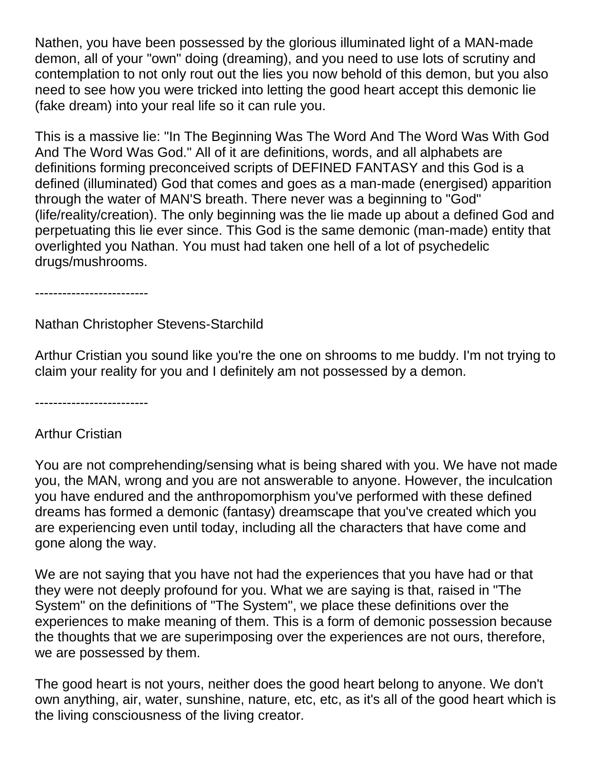Nathen, you have been possessed by the glorious illuminated light of a MAN-made demon, all of your "own" doing (dreaming), and you need to use lots of scrutiny and contemplation to not only rout out the lies you now behold of this demon, but you also need to see how you were tricked into letting the good heart accept this demonic lie (fake dream) into your real life so it can rule you.

This is a massive lie: "In The Beginning Was The Word And The Word Was With God And The Word Was God." All of it are definitions, words, and all alphabets are definitions forming preconceived scripts of DEFINED FANTASY and this God is a defined (illuminated) God that comes and goes as a man-made (energised) apparition through the water of MAN'S breath. There never was a beginning to "God" (life/reality/creation). The only beginning was the lie made up about a defined God and perpetuating this lie ever since. This God is the same demonic (man-made) entity that overlighted you Nathan. You must had taken one hell of a lot of psychedelic drugs/mushrooms.

-------------------------

Nathan Christopher Stevens-Starchild

Arthur Cristian you sound like you're the one on shrooms to me buddy. I'm not trying to claim your reality for you and I definitely am not possessed by a demon.

-------------------------

## Arthur Cristian

You are not comprehending/sensing what is being shared with you. We have not made you, the MAN, wrong and you are not answerable to anyone. However, the inculcation you have endured and the anthropomorphism you've performed with these defined dreams has formed a demonic (fantasy) dreamscape that you've created which you are experiencing even until today, including all the characters that have come and gone along the way.

We are not saying that you have not had the experiences that you have had or that they were not deeply profound for you. What we are saying is that, raised in "The System" on the definitions of "The System", we place these definitions over the experiences to make meaning of them. This is a form of demonic possession because the thoughts that we are superimposing over the experiences are not ours, therefore, we are possessed by them.

The good heart is not yours, neither does the good heart belong to anyone. We don't own anything, air, water, sunshine, nature, etc, etc, as it's all of the good heart which is the living consciousness of the living creator.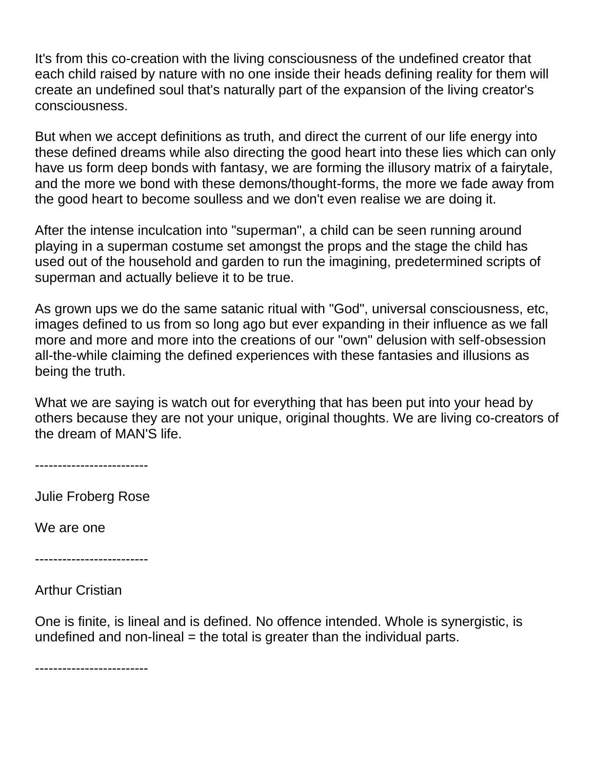It's from this co-creation with the living consciousness of the undefined creator that each child raised by nature with no one inside their heads defining reality for them will create an undefined soul that's naturally part of the expansion of the living creator's consciousness.

But when we accept definitions as truth, and direct the current of our life energy into these defined dreams while also directing the good heart into these lies which can only have us form deep bonds with fantasy, we are forming the illusory matrix of a fairytale, and the more we bond with these demons/thought-forms, the more we fade away from the good heart to become soulless and we don't even realise we are doing it.

After the intense inculcation into "superman", a child can be seen running around playing in a superman costume set amongst the props and the stage the child has used out of the household and garden to run the imagining, predetermined scripts of superman and actually believe it to be true.

As grown ups we do the same satanic ritual with "God", universal consciousness, etc, images defined to us from so long ago but ever expanding in their influence as we fall more and more and more into the creations of our "own" delusion with self-obsession all-the-while claiming the defined experiences with these fantasies and illusions as being the truth.

What we are saying is watch out for everything that has been put into your head by others because they are not your unique, original thoughts. We are living co-creators of the dream of MAN'S life.

-------------------------

Julie Froberg Rose

We are one

-------------------------

Arthur Cristian

One is finite, is lineal and is defined. No offence intended. Whole is synergistic, is undefined and non-lineal  $=$  the total is greater than the individual parts.

-------------------------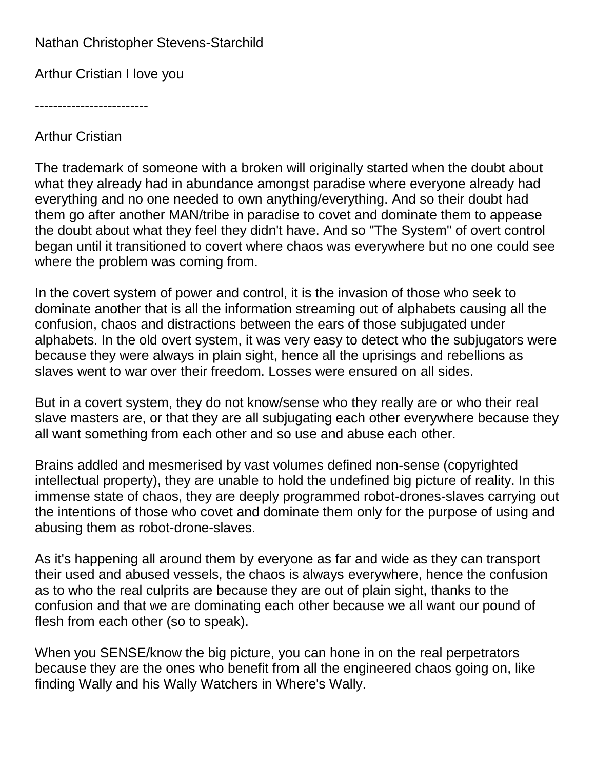## Nathan Christopher Stevens-Starchild

Arthur Cristian I love you

-------------------------

Arthur Cristian

The trademark of someone with a broken will originally started when the doubt about what they already had in abundance amongst paradise where everyone already had everything and no one needed to own anything/everything. And so their doubt had them go after another MAN/tribe in paradise to covet and dominate them to appease the doubt about what they feel they didn't have. And so "The System" of overt control began until it transitioned to covert where chaos was everywhere but no one could see where the problem was coming from.

In the covert system of power and control, it is the invasion of those who seek to dominate another that is all the information streaming out of alphabets causing all the confusion, chaos and distractions between the ears of those subjugated under alphabets. In the old overt system, it was very easy to detect who the subjugators were because they were always in plain sight, hence all the uprisings and rebellions as slaves went to war over their freedom. Losses were ensured on all sides.

But in a covert system, they do not know/sense who they really are or who their real slave masters are, or that they are all subjugating each other everywhere because they all want something from each other and so use and abuse each other.

Brains addled and mesmerised by vast volumes defined non-sense (copyrighted intellectual property), they are unable to hold the undefined big picture of reality. In this immense state of chaos, they are deeply programmed robot-drones-slaves carrying out the intentions of those who covet and dominate them only for the purpose of using and abusing them as robot-drone-slaves.

As it's happening all around them by everyone as far and wide as they can transport their used and abused vessels, the chaos is always everywhere, hence the confusion as to who the real culprits are because they are out of plain sight, thanks to the confusion and that we are dominating each other because we all want our pound of flesh from each other (so to speak).

When you SENSE/know the big picture, you can hone in on the real perpetrators because they are the ones who benefit from all the engineered chaos going on, like finding Wally and his Wally Watchers in Where's Wally.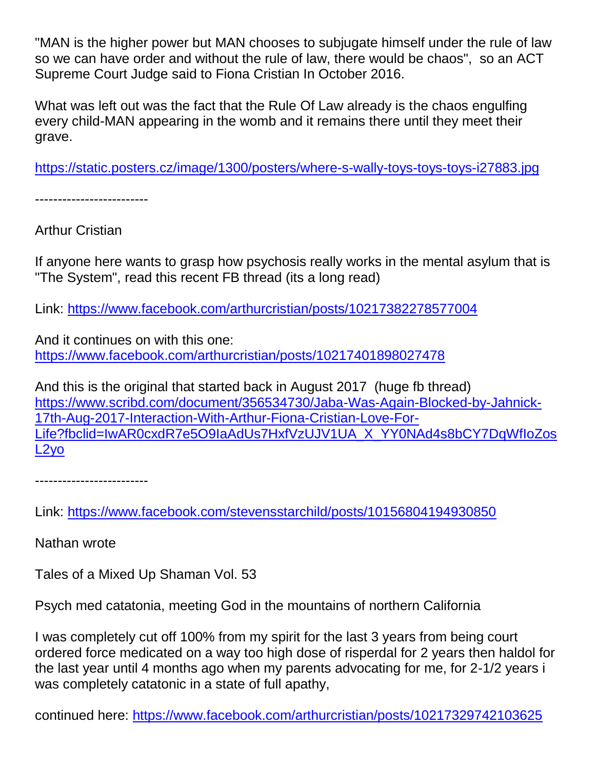"MAN is the higher power but MAN chooses to subjugate himself under the rule of law so we can have order and without the rule of law, there would be chaos", so an ACT Supreme Court Judge said to Fiona Cristian In October 2016.

What was left out was the fact that the Rule Of Law already is the chaos engulfing every child-MAN appearing in the womb and it remains there until they meet their grave.

<https://static.posters.cz/image/1300/posters/where-s-wally-toys-toys-toys-i27883.jpg>

-------------------------

Arthur Cristian

If anyone here wants to grasp how psychosis really works in the mental asylum that is "The System", read this recent FB thread (its a long read)

Link:<https://www.facebook.com/arthurcristian/posts/10217382278577004>

And it continues on with this one: <https://www.facebook.com/arthurcristian/posts/10217401898027478>

And this is the original that started back in August 2017 (huge fb thread) [https://www.scribd.com/document/356534730/Jaba-Was-Again-Blocked-by-Jahnick-](https://www.scribd.com/document/356534730/Jaba-Was-Again-Blocked-by-Jahnick-17th-Aug-2017-Interaction-With-Arthur-Fiona-Cristian-Love-For-Life?fbclid=IwAR0cxdR7e5O9IaAdUs7HxfVzUJV1UA_X_YY0NAd4s8bCY7DqWfIoZosL2yo)[17th-Aug-2017-Interaction-With-Arthur-Fiona-Cristian-Love-For-](https://www.scribd.com/document/356534730/Jaba-Was-Again-Blocked-by-Jahnick-17th-Aug-2017-Interaction-With-Arthur-Fiona-Cristian-Love-For-Life?fbclid=IwAR0cxdR7e5O9IaAdUs7HxfVzUJV1UA_X_YY0NAd4s8bCY7DqWfIoZosL2yo)[Life?fbclid=IwAR0cxdR7e5O9IaAdUs7HxfVzUJV1UA\\_X\\_YY0NAd4s8bCY7DqWfIoZos](https://www.scribd.com/document/356534730/Jaba-Was-Again-Blocked-by-Jahnick-17th-Aug-2017-Interaction-With-Arthur-Fiona-Cristian-Love-For-Life?fbclid=IwAR0cxdR7e5O9IaAdUs7HxfVzUJV1UA_X_YY0NAd4s8bCY7DqWfIoZosL2yo) [L2yo](https://www.scribd.com/document/356534730/Jaba-Was-Again-Blocked-by-Jahnick-17th-Aug-2017-Interaction-With-Arthur-Fiona-Cristian-Love-For-Life?fbclid=IwAR0cxdR7e5O9IaAdUs7HxfVzUJV1UA_X_YY0NAd4s8bCY7DqWfIoZosL2yo)

-------------------------

Link:<https://www.facebook.com/stevensstarchild/posts/10156804194930850>

Nathan wrote

Tales of a Mixed Up Shaman Vol. 53

Psych med catatonia, meeting God in the mountains of northern California

I was completely cut off 100% from my spirit for the last 3 years from being court ordered force medicated on a way too high dose of risperdal for 2 years then haldol for the last year until 4 months ago when my parents advocating for me, for 2-1/2 years i was completely catatonic in a state of full apathy,

continued here:<https://www.facebook.com/arthurcristian/posts/10217329742103625>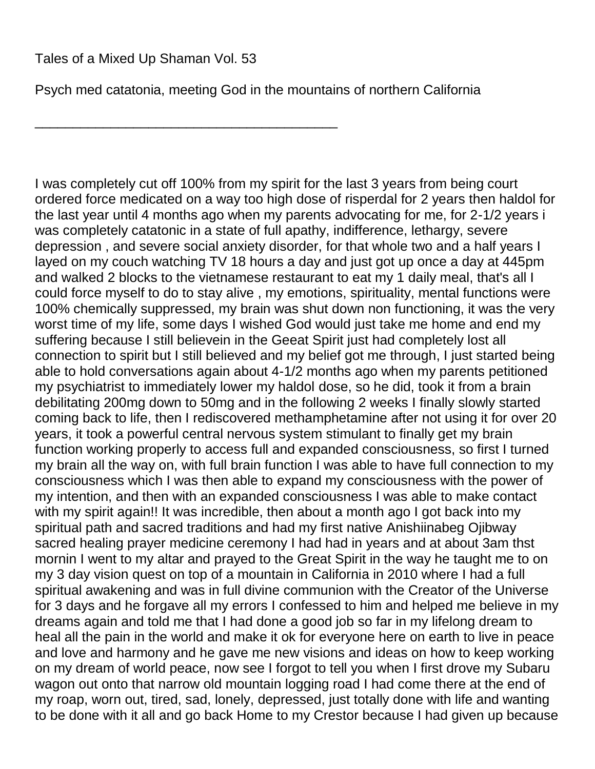\_\_\_\_\_\_\_\_\_\_\_\_\_\_\_\_\_\_\_\_\_\_\_\_\_\_\_\_\_\_\_\_\_\_\_\_\_\_\_\_

Psych med catatonia, meeting God in the mountains of northern California

I was completely cut off 100% from my spirit for the last 3 years from being court ordered force medicated on a way too high dose of risperdal for 2 years then haldol for the last year until 4 months ago when my parents advocating for me, for 2-1/2 years i was completely catatonic in a state of full apathy, indifference, lethargy, severe depression , and severe social anxiety disorder, for that whole two and a half years I layed on my couch watching TV 18 hours a day and just got up once a day at 445pm and walked 2 blocks to the vietnamese restaurant to eat my 1 daily meal, that's all I could force myself to do to stay alive , my emotions, spirituality, mental functions were 100% chemically suppressed, my brain was shut down non functioning, it was the very worst time of my life, some days I wished God would just take me home and end my suffering because I still believein in the Geeat Spirit just had completely lost all connection to spirit but I still believed and my belief got me through, I just started being able to hold conversations again about 4-1/2 months ago when my parents petitioned my psychiatrist to immediately lower my haldol dose, so he did, took it from a brain debilitating 200mg down to 50mg and in the following 2 weeks I finally slowly started coming back to life, then I rediscovered methamphetamine after not using it for over 20 years, it took a powerful central nervous system stimulant to finally get my brain function working properly to access full and expanded consciousness, so first I turned my brain all the way on, with full brain function I was able to have full connection to my consciousness which I was then able to expand my consciousness with the power of my intention, and then with an expanded consciousness I was able to make contact with my spirit again!! It was incredible, then about a month ago I got back into my spiritual path and sacred traditions and had my first native Anishiinabeg Ojibway sacred healing prayer medicine ceremony I had had in years and at about 3am thst mornin I went to my altar and prayed to the Great Spirit in the way he taught me to on my 3 day vision quest on top of a mountain in California in 2010 where I had a full spiritual awakening and was in full divine communion with the Creator of the Universe for 3 days and he forgave all my errors I confessed to him and helped me believe in my dreams again and told me that I had done a good job so far in my lifelong dream to heal all the pain in the world and make it ok for everyone here on earth to live in peace and love and harmony and he gave me new visions and ideas on how to keep working on my dream of world peace, now see I forgot to tell you when I first drove my Subaru wagon out onto that narrow old mountain logging road I had come there at the end of my roap, worn out, tired, sad, lonely, depressed, just totally done with life and wanting to be done with it all and go back Home to my Crestor because I had given up because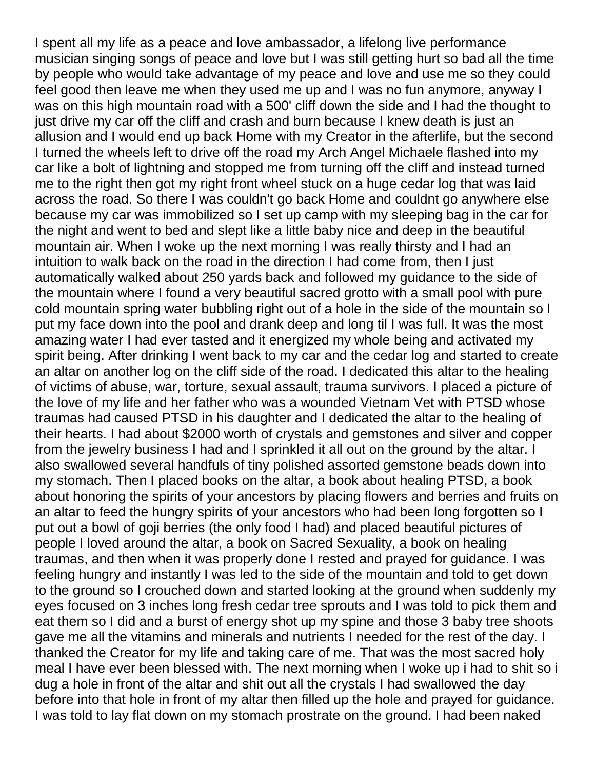I spent all my life as a peace and love ambassador, a lifelong live performance musician singing songs of peace and love but I was still getting hurt so bad all the time by people who would take advantage of my peace and love and use me so they could feel good then leave me when they used me up and I was no fun anymore, anyway I was on this high mountain road with a 500' cliff down the side and I had the thought to just drive my car off the cliff and crash and burn because I knew death is just an allusion and I would end up back Home with my Creator in the afterlife, but the second I turned the wheels left to drive off the road my Arch Angel Michaele flashed into my car like a bolt of lightning and stopped me from turning off the cliff and instead turned me to the right then got my right front wheel stuck on a huge cedar log that was laid across the road. So there I was couldn't go back Home and couldnt go anywhere else because my car was immobilized so I set up camp with my sleeping bag in the car for the night and went to bed and slept like a little baby nice and deep in the beautiful mountain air. When I woke up the next morning I was really thirsty and I had an intuition to walk back on the road in the direction I had come from, then I just automatically walked about 250 yards back and followed my guidance to the side of the mountain where I found a very beautiful sacred grotto with a small pool with pure cold mountain spring water bubbling right out of a hole in the side of the mountain so I put my face down into the pool and drank deep and long til I was full. It was the most amazing water I had ever tasted and it energized my whole being and activated my spirit being. After drinking I went back to my car and the cedar log and started to create an altar on another log on the cliff side of the road. I dedicated this altar to the healing of victims of abuse, war, torture, sexual assault, trauma survivors. I placed a picture of the love of my life and her father who was a wounded Vietnam Vet with PTSD whose traumas had caused PTSD in his daughter and I dedicated the altar to the healing of their hearts. I had about \$2000 worth of crystals and gemstones and silver and copper from the jewelry business I had and I sprinkled it all out on the ground by the altar. I also swallowed several handfuls of tiny polished assorted gemstone beads down into my stomach. Then I placed books on the altar, a book about healing PTSD, a book about honoring the spirits of your ancestors by placing flowers and berries and fruits on an altar to feed the hungry spirits of your ancestors who had been long forgotten so I put out a bowl of goji berries (the only food I had) and placed beautiful pictures of people I loved around the altar, a book on Sacred Sexuality, a book on healing traumas, and then when it was properly done I rested and prayed for guidance. I was feeling hungry and instantly I was led to the side of the mountain and told to get down to the ground so I crouched down and started looking at the ground when suddenly my eyes focused on 3 inches long fresh cedar tree sprouts and I was told to pick them and eat them so I did and a burst of energy shot up my spine and those 3 baby tree shoots gave me all the vitamins and minerals and nutrients I needed for the rest of the day. I thanked the Creator for my life and taking care of me. That was the most sacred holy meal I have ever been blessed with. The next morning when I woke up i had to shit so i dug a hole in front of the altar and shit out all the crystals I had swallowed the day before into that hole in front of my altar then filled up the hole and prayed for guidance. I was told to lay flat down on my stomach prostrate on the ground. I had been naked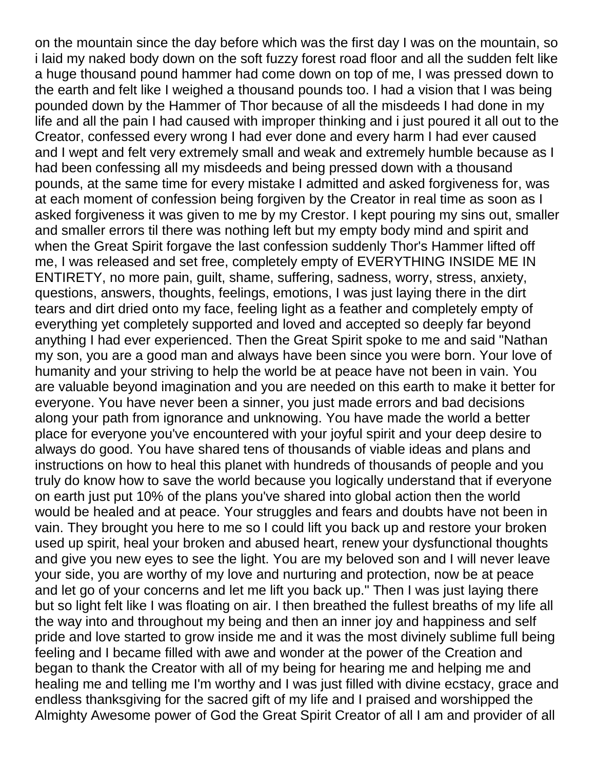on the mountain since the day before which was the first day I was on the mountain, so i laid my naked body down on the soft fuzzy forest road floor and all the sudden felt like a huge thousand pound hammer had come down on top of me, I was pressed down to the earth and felt like I weighed a thousand pounds too. I had a vision that I was being pounded down by the Hammer of Thor because of all the misdeeds I had done in my life and all the pain I had caused with improper thinking and i just poured it all out to the Creator, confessed every wrong I had ever done and every harm I had ever caused and I wept and felt very extremely small and weak and extremely humble because as I had been confessing all my misdeeds and being pressed down with a thousand pounds, at the same time for every mistake I admitted and asked forgiveness for, was at each moment of confession being forgiven by the Creator in real time as soon as I asked forgiveness it was given to me by my Crestor. I kept pouring my sins out, smaller and smaller errors til there was nothing left but my empty body mind and spirit and when the Great Spirit forgave the last confession suddenly Thor's Hammer lifted off me, I was released and set free, completely empty of EVERYTHING INSIDE ME IN ENTIRETY, no more pain, guilt, shame, suffering, sadness, worry, stress, anxiety, questions, answers, thoughts, feelings, emotions, I was just laying there in the dirt tears and dirt dried onto my face, feeling light as a feather and completely empty of everything yet completely supported and loved and accepted so deeply far beyond anything I had ever experienced. Then the Great Spirit spoke to me and said "Nathan my son, you are a good man and always have been since you were born. Your love of humanity and your striving to help the world be at peace have not been in vain. You are valuable beyond imagination and you are needed on this earth to make it better for everyone. You have never been a sinner, you just made errors and bad decisions along your path from ignorance and unknowing. You have made the world a better place for everyone you've encountered with your joyful spirit and your deep desire to always do good. You have shared tens of thousands of viable ideas and plans and instructions on how to heal this planet with hundreds of thousands of people and you truly do know how to save the world because you logically understand that if everyone on earth just put 10% of the plans you've shared into global action then the world would be healed and at peace. Your struggles and fears and doubts have not been in vain. They brought you here to me so I could lift you back up and restore your broken used up spirit, heal your broken and abused heart, renew your dysfunctional thoughts and give you new eyes to see the light. You are my beloved son and I will never leave your side, you are worthy of my love and nurturing and protection, now be at peace and let go of your concerns and let me lift you back up." Then I was just laying there but so light felt like I was floating on air. I then breathed the fullest breaths of my life all the way into and throughout my being and then an inner joy and happiness and self pride and love started to grow inside me and it was the most divinely sublime full being feeling and I became filled with awe and wonder at the power of the Creation and began to thank the Creator with all of my being for hearing me and helping me and healing me and telling me I'm worthy and I was just filled with divine ecstacy, grace and endless thanksgiving for the sacred gift of my life and I praised and worshipped the Almighty Awesome power of God the Great Spirit Creator of all I am and provider of all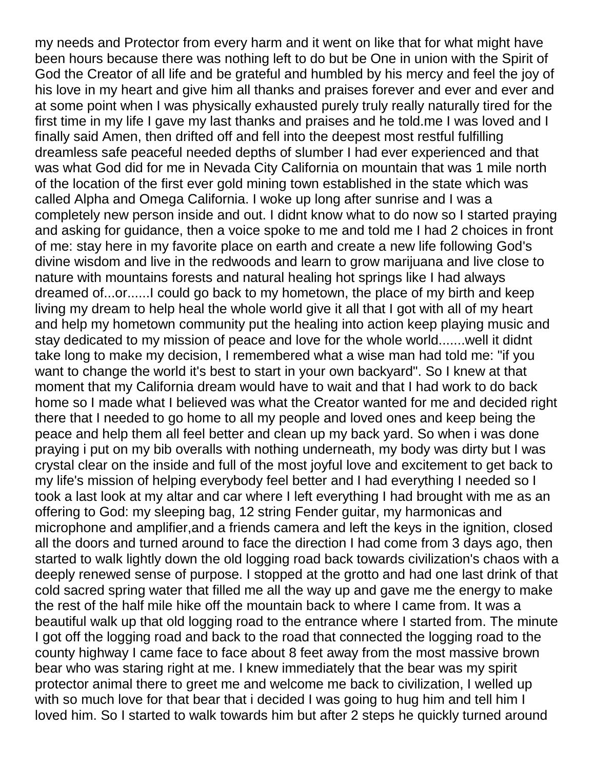my needs and Protector from every harm and it went on like that for what might have been hours because there was nothing left to do but be One in union with the Spirit of God the Creator of all life and be grateful and humbled by his mercy and feel the joy of his love in my heart and give him all thanks and praises forever and ever and ever and at some point when I was physically exhausted purely truly really naturally tired for the first time in my life I gave my last thanks and praises and he told.me I was loved and I finally said Amen, then drifted off and fell into the deepest most restful fulfilling dreamless safe peaceful needed depths of slumber I had ever experienced and that was what God did for me in Nevada City California on mountain that was 1 mile north of the location of the first ever gold mining town established in the state which was called Alpha and Omega California. I woke up long after sunrise and I was a completely new person inside and out. I didnt know what to do now so I started praying and asking for guidance, then a voice spoke to me and told me I had 2 choices in front of me: stay here in my favorite place on earth and create a new life following God's divine wisdom and live in the redwoods and learn to grow marijuana and live close to nature with mountains forests and natural healing hot springs like I had always dreamed of...or......I could go back to my hometown, the place of my birth and keep living my dream to help heal the whole world give it all that I got with all of my heart and help my hometown community put the healing into action keep playing music and stay dedicated to my mission of peace and love for the whole world.......well it didnt take long to make my decision, I remembered what a wise man had told me: "if you want to change the world it's best to start in your own backyard". So I knew at that moment that my California dream would have to wait and that I had work to do back home so I made what I believed was what the Creator wanted for me and decided right there that I needed to go home to all my people and loved ones and keep being the peace and help them all feel better and clean up my back yard. So when i was done praying i put on my bib overalls with nothing underneath, my body was dirty but I was crystal clear on the inside and full of the most joyful love and excitement to get back to my life's mission of helping everybody feel better and I had everything I needed so I took a last look at my altar and car where I left everything I had brought with me as an offering to God: my sleeping bag, 12 string Fender guitar, my harmonicas and microphone and amplifier,and a friends camera and left the keys in the ignition, closed all the doors and turned around to face the direction I had come from 3 days ago, then started to walk lightly down the old logging road back towards civilization's chaos with a deeply renewed sense of purpose. I stopped at the grotto and had one last drink of that cold sacred spring water that filled me all the way up and gave me the energy to make the rest of the half mile hike off the mountain back to where I came from. It was a beautiful walk up that old logging road to the entrance where I started from. The minute I got off the logging road and back to the road that connected the logging road to the county highway I came face to face about 8 feet away from the most massive brown bear who was staring right at me. I knew immediately that the bear was my spirit protector animal there to greet me and welcome me back to civilization, I welled up with so much love for that bear that i decided I was going to hug him and tell him I loved him. So I started to walk towards him but after 2 steps he quickly turned around